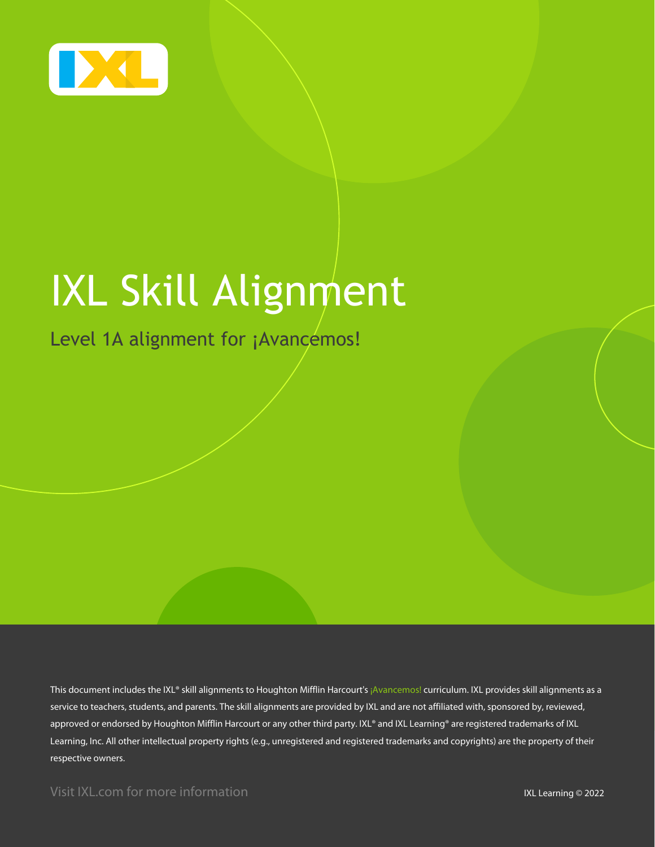

# IXL Skill Alignment

### Level 1A alignment for ¡Avancemos!

This document includes the IXL® skill alignments to Houghton Mifflin Harcourt's ¡Avancemos! curriculum. IXL provides skill alignments as a service to teachers, students, and parents. The skill alignments are provided by IXL and are not affiliated with, sponsored by, reviewed, approved or endorsed by Houghton Mifflin Harcourt or any other third party. IXL® and IXL Learning® are registered trademarks of IXL Learning, Inc. All other intellectual property rights (e.g., unregistered and registered trademarks and copyrights) are the property of their respective owners.

Visit IXL.com for more information **IXL Learning © 2022**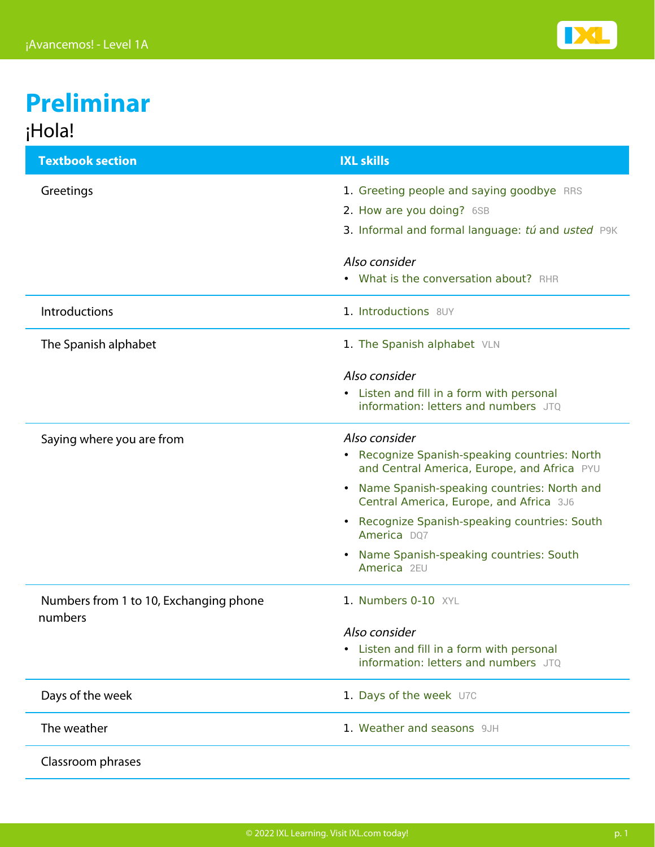

## **Preliminar** ¡Hola!

| <b>Textbook section</b>                           | <b>IXL skills</b>                                                                                                                                                        |
|---------------------------------------------------|--------------------------------------------------------------------------------------------------------------------------------------------------------------------------|
| Greetings                                         | 1. Greeting people and saying goodbye RRS<br>2. How are you doing? 6SB<br>3. Informal and formal language: tú and usted P9K                                              |
|                                                   | Also consider<br>• What is the conversation about? RHR                                                                                                                   |
| <b>Introductions</b>                              | 1. Introductions 8UY                                                                                                                                                     |
| The Spanish alphabet                              | 1. The Spanish alphabet VLN                                                                                                                                              |
|                                                   | Also consider<br>• Listen and fill in a form with personal<br>information: letters and numbers JTQ                                                                       |
| Saying where you are from                         | Also consider<br>• Recognize Spanish-speaking countries: North<br>and Central America, Europe, and Africa PYU<br>Name Spanish-speaking countries: North and<br>$\bullet$ |
|                                                   | Central America, Europe, and Africa 3J6<br>Recognize Spanish-speaking countries: South<br>$\bullet$<br>America DQ7                                                       |
|                                                   | Name Spanish-speaking countries: South<br>$\bullet$<br>America 2EU                                                                                                       |
| Numbers from 1 to 10, Exchanging phone<br>numbers | 1. Numbers 0-10 XYL                                                                                                                                                      |
|                                                   | Also consider                                                                                                                                                            |
|                                                   | • Listen and fill in a form with personal<br>information: letters and numbers JTQ                                                                                        |
| Days of the week                                  | 1. Days of the week U7C                                                                                                                                                  |
| The weather                                       | 1. Weather and seasons 9JH                                                                                                                                               |
| Classroom phrases                                 |                                                                                                                                                                          |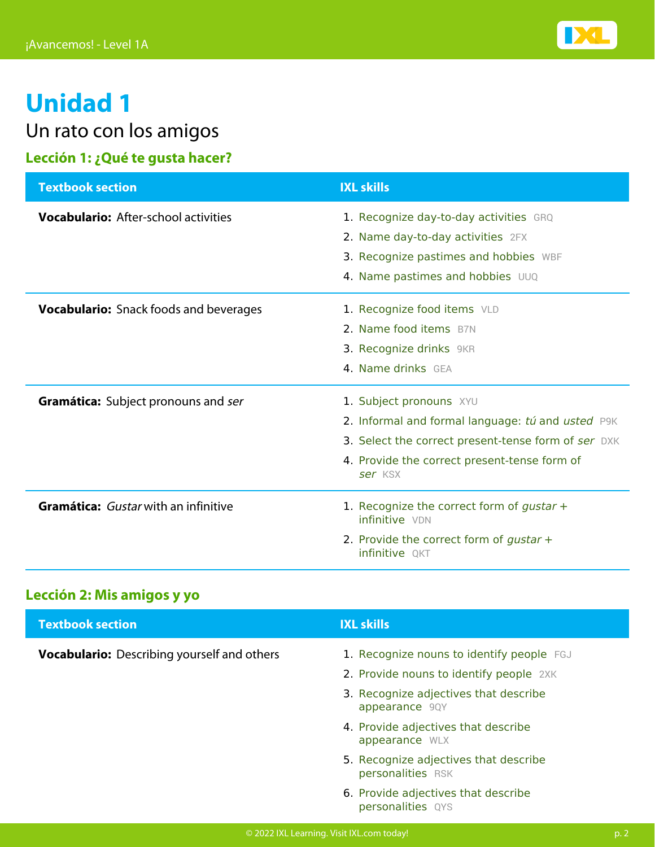

Un rato con los amigos

#### **Lección 1: ¿Qué te gusta hacer?**

| <b>Textbook section</b>                       | <b>IXL skills</b>                                                                                                                                                                              |
|-----------------------------------------------|------------------------------------------------------------------------------------------------------------------------------------------------------------------------------------------------|
| <b>Vocabulario:</b> After-school activities   | 1. Recognize day-to-day activities GRQ<br>2. Name day-to-day activities 2FX<br>3. Recognize pastimes and hobbies WBF<br>4. Name pastimes and hobbies UUQ                                       |
| <b>Vocabulario:</b> Snack foods and beverages | 1. Recognize food items VLD<br>2. Name food items B7N<br>3. Recognize drinks 9KR<br>4. Name drinks GFA                                                                                         |
| <b>Gramática:</b> Subject pronouns and ser    | 1. Subject pronouns XYU<br>2. Informal and formal language: tú and usted P9K<br>3. Select the correct present-tense form of ser DXK<br>4. Provide the correct present-tense form of<br>ser KSX |
| Gramática: Gustar with an infinitive          | 1. Recognize the correct form of gustar +<br>infinitive VDN<br>2. Provide the correct form of gustar $+$<br>infinitive QKT                                                                     |

#### **Lección 2: Mis amigos y yo**

| <b>Textbook section</b>                            | <b>IXL skills</b>                                          |
|----------------------------------------------------|------------------------------------------------------------|
| <b>Vocabulario:</b> Describing yourself and others | 1. Recognize nouns to identify people FGJ                  |
|                                                    | 2. Provide nouns to identify people 2XK                    |
|                                                    | 3. Recognize adjectives that describe<br>appearance 9QY    |
|                                                    | 4. Provide adjectives that describe<br>appearance WLX      |
|                                                    | 5. Recognize adjectives that describe<br>personalities RSK |
|                                                    | 6. Provide adjectives that describe<br>personalities QYS   |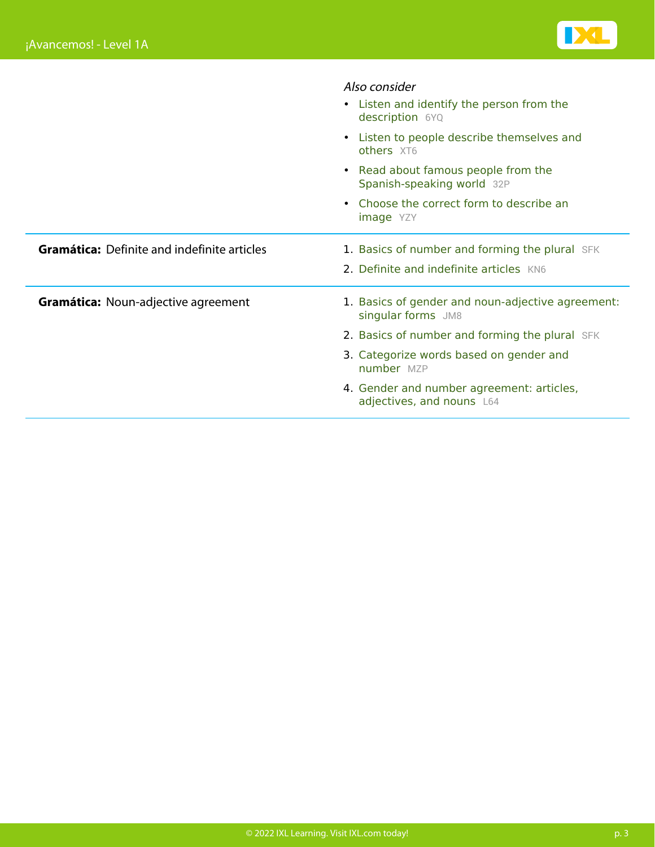

|                                                    | Also consider                                                           |
|----------------------------------------------------|-------------------------------------------------------------------------|
|                                                    | • Listen and identify the person from the<br>description 6YQ            |
|                                                    | • Listen to people describe themselves and<br>others XT6                |
|                                                    | • Read about famous people from the<br>Spanish-speaking world 32P       |
|                                                    | Choose the correct form to describe an<br><b>image</b> YZY              |
| <b>Gramática:</b> Definite and indefinite articles | 1. Basics of number and forming the plural SFK                          |
|                                                    | 2. Definite and indefinite articles KN6                                 |
| <b>Gramática: Noun-adjective agreement</b>         | 1. Basics of gender and noun-adjective agreement:<br>singular forms JM8 |
|                                                    | 2. Basics of number and forming the plural SFK                          |
|                                                    | 3. Categorize words based on gender and<br>number MZP                   |
|                                                    | 4. Gender and number agreement: articles,<br>adjectives, and nouns L64  |
|                                                    |                                                                         |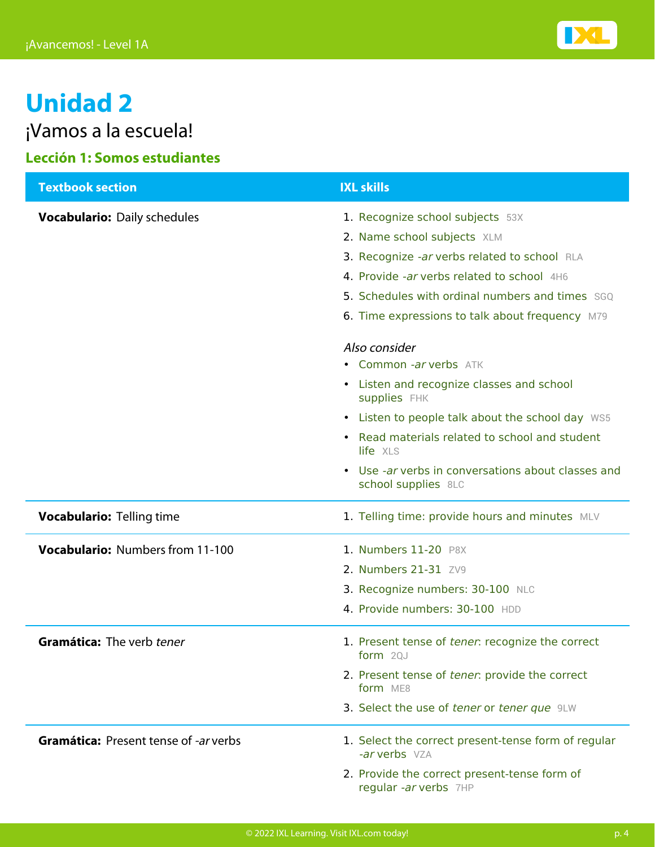

¡Vamos a la escuela!

#### **Lección 1: Somos estudiantes**

| <b>Textbook section</b>                      | <b>IXL skills</b>                                                                                                                                                                                                                                                   |
|----------------------------------------------|---------------------------------------------------------------------------------------------------------------------------------------------------------------------------------------------------------------------------------------------------------------------|
| <b>Vocabulario: Daily schedules</b>          | 1. Recognize school subjects 53X<br>2. Name school subjects XLM<br>3. Recognize -ar verbs related to school RLA<br>4. Provide -ar verbs related to school 4H6<br>5. Schedules with ordinal numbers and times SGQ<br>6. Time expressions to talk about frequency M79 |
|                                              | Also consider<br>• Common -ar verbs ATK<br>• Listen and recognize classes and school<br>supplies FHK                                                                                                                                                                |
|                                              | • Listen to people talk about the school day WS5<br>• Read materials related to school and student<br>life XLS                                                                                                                                                      |
|                                              | • Use -ar verbs in conversations about classes and<br>school supplies 8LC                                                                                                                                                                                           |
| <b>Vocabulario: Telling time</b>             | 1. Telling time: provide hours and minutes MLV                                                                                                                                                                                                                      |
| <b>Vocabulario: Numbers from 11-100</b>      | 1. Numbers 11-20 P8X<br>2. Numbers 21-31 ZV9<br>3. Recognize numbers: 30-100 NLC<br>4. Provide numbers: 30-100 HDD                                                                                                                                                  |
| Gramática: The verb tener                    | 1. Present tense of tener: recognize the correct<br>form $2QJ$<br>2. Present tense of tener: provide the correct<br>form ME8<br>3. Select the use of tener or tener que 9LW                                                                                         |
| <b>Gramática: Present tense of -ar verbs</b> | 1. Select the correct present-tense form of regular<br>-ar verbs VZA<br>2. Provide the correct present-tense form of<br>regular -ar verbs 7HP                                                                                                                       |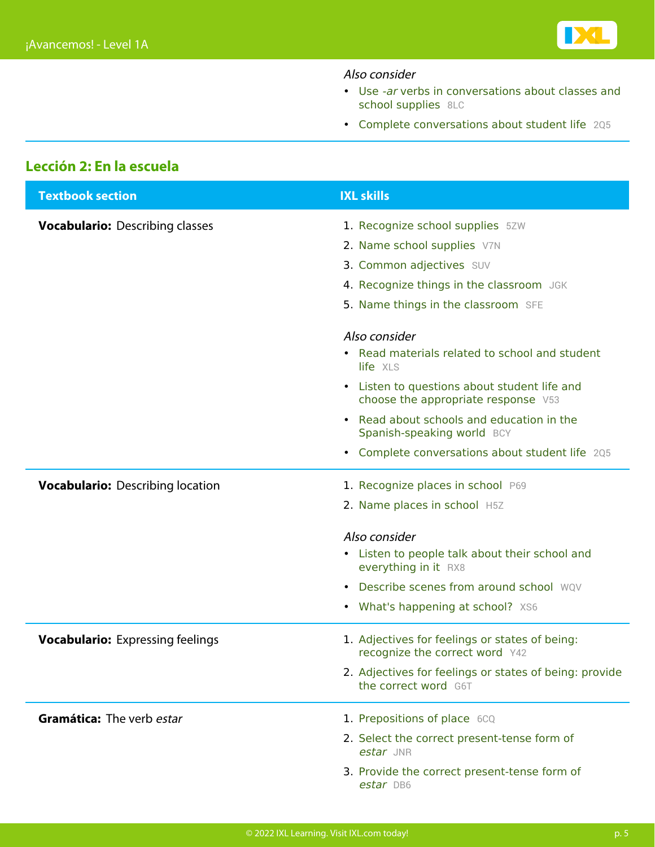

#### Also consider

- [Use](https://www.ixl.com/spanish/level-1/use-ar-verbs-in-conversations-about-classes-and-school-supplies) [‑ar](https://www.ixl.com/spanish/level-1/use-ar-verbs-in-conversations-about-classes-and-school-supplies) [verbs in conversations about classes and](https://www.ixl.com/spanish/level-1/use-ar-verbs-in-conversations-about-classes-and-school-supplies) [school supplies](https://www.ixl.com/spanish/level-1/use-ar-verbs-in-conversations-about-classes-and-school-supplies) [8LC](https://www.ixl.com/spanish/level-1/use-ar-verbs-in-conversations-about-classes-and-school-supplies)
- [Complete conversations about student life](https://www.ixl.com/spanish/level-1/complete-conversations-about-student-life) [2Q5](https://www.ixl.com/spanish/level-1/complete-conversations-about-student-life)

#### **Lección 2: En la escuela**

| <b>Textbook section</b>                 | <b>IXL skills</b>                                                                   |
|-----------------------------------------|-------------------------------------------------------------------------------------|
| <b>Vocabulario: Describing classes</b>  | 1. Recognize school supplies 5ZW                                                    |
|                                         | 2. Name school supplies V7N                                                         |
|                                         | 3. Common adjectives SUV                                                            |
|                                         | 4. Recognize things in the classroom JGK                                            |
|                                         | 5. Name things in the classroom SFE                                                 |
|                                         | Also consider                                                                       |
|                                         | • Read materials related to school and student<br>life XLS                          |
|                                         | • Listen to questions about student life and<br>choose the appropriate response V53 |
|                                         | Read about schools and education in the<br>Spanish-speaking world BCY               |
|                                         | • Complete conversations about student life 205                                     |
| <b>Vocabulario:</b> Describing location | 1. Recognize places in school P69                                                   |
|                                         | 2. Name places in school H5Z                                                        |
|                                         | Also consider                                                                       |
|                                         | • Listen to people talk about their school and<br>everything in it RX8              |
|                                         | • Describe scenes from around school WOV                                            |
|                                         | • What's happening at school? XS6                                                   |
| <b>Vocabulario:</b> Expressing feelings | 1. Adjectives for feelings or states of being:<br>recognize the correct word Y42    |
|                                         | 2. Adjectives for feelings or states of being: provide<br>the correct word G6T      |
| Gramática: The verb estar               | 1. Prepositions of place 6CQ                                                        |
|                                         | 2. Select the correct present-tense form of<br>estar JNR                            |
|                                         | 3. Provide the correct present-tense form of<br>estar DB6                           |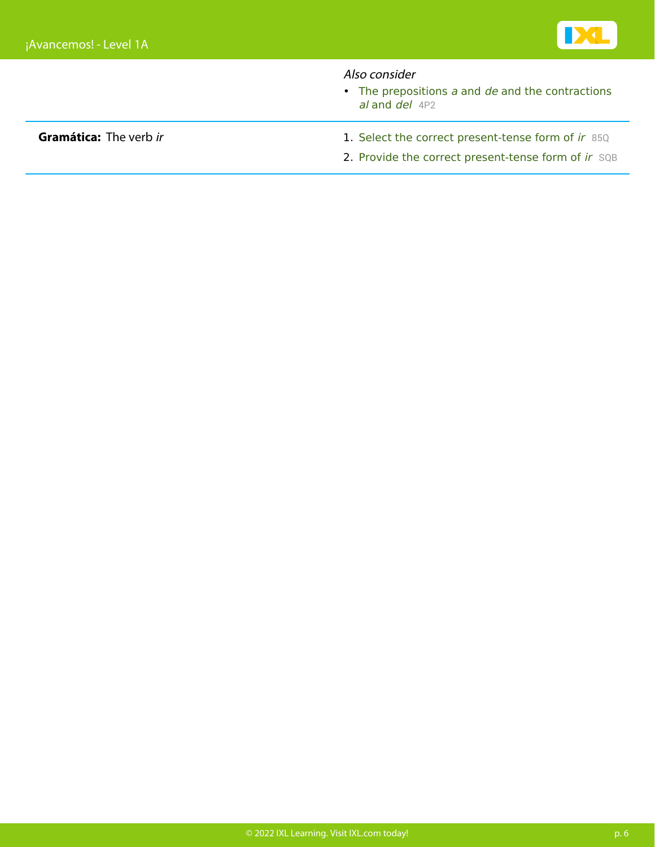

#### Also consider

 $\bullet$  [The prepositions](https://www.ixl.com/spanish/level-1/the-prepositions-a-and-de-and-the-contractions-al-and-del)  $a$  [and](https://www.ixl.com/spanish/level-1/the-prepositions-a-and-de-and-the-contractions-al-and-del)  $de$  [and the contractions](https://www.ixl.com/spanish/level-1/the-prepositions-a-and-de-and-the-contractions-al-and-del) [al](https://www.ixl.com/spanish/level-1/the-prepositions-a-and-de-and-the-contractions-al-and-del) [and](https://www.ixl.com/spanish/level-1/the-prepositions-a-and-de-and-the-contractions-al-and-del) [del](https://www.ixl.com/spanish/level-1/the-prepositions-a-and-de-and-the-contractions-al-and-del) [4P2](https://www.ixl.com/spanish/level-1/the-prepositions-a-and-de-and-the-contractions-al-and-del)

- **Gramática:** The verb [ir](https://www.ixl.com/spanish/level-1/select-the-correct-present-tense-form-of-ir) 1. Select the correct present-tense form of ir [85Q](https://www.ixl.com/spanish/level-1/select-the-correct-present-tense-form-of-ir)
	- 2. Provide the correct present-tense form of [ir](https://www.ixl.com/spanish/level-1/provide-the-correct-present-tense-form-of-ir) [SQB](https://www.ixl.com/spanish/level-1/provide-the-correct-present-tense-form-of-ir)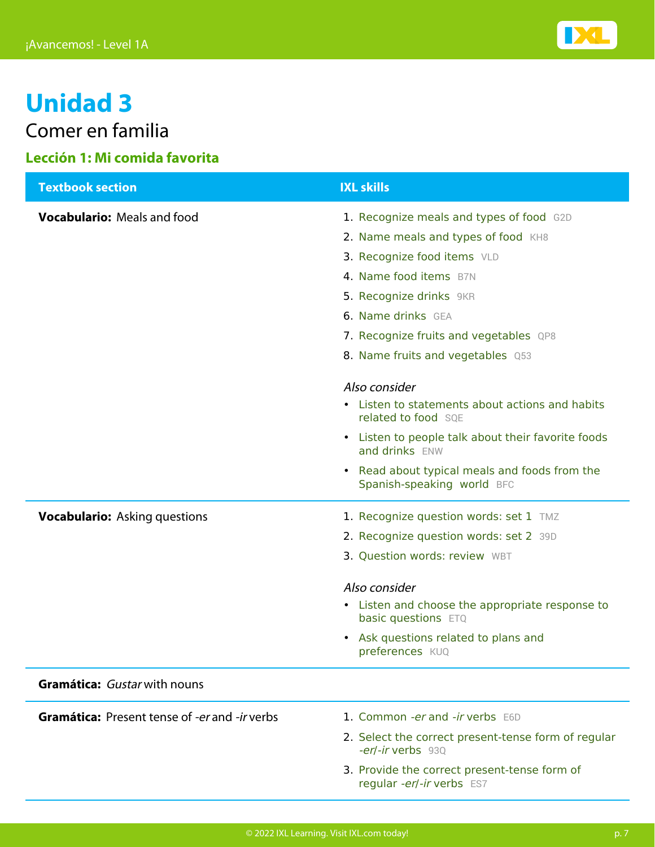

Comer en familia

#### **Lección 1: Mi comida favorita**

| <b>Textbook section</b>                              | <b>IXL skills</b>                                                               |
|------------------------------------------------------|---------------------------------------------------------------------------------|
| <b>Vocabulario:</b> Meals and food                   | 1. Recognize meals and types of food G2D                                        |
|                                                      | 2. Name meals and types of food KH8                                             |
|                                                      | 3. Recognize food items VLD                                                     |
|                                                      | 4. Name food items B7N                                                          |
|                                                      | 5. Recognize drinks 9KR                                                         |
|                                                      | 6. Name drinks GEA                                                              |
|                                                      | 7. Recognize fruits and vegetables QP8                                          |
|                                                      | 8. Name fruits and vegetables Q53                                               |
|                                                      | Also consider                                                                   |
|                                                      | • Listen to statements about actions and habits<br>related to food SQE          |
|                                                      | Listen to people talk about their favorite foods<br>$\bullet$<br>and drinks ENW |
|                                                      | • Read about typical meals and foods from the<br>Spanish-speaking world BFC     |
| <b>Vocabulario:</b> Asking questions                 | 1. Recognize question words: set 1 TMZ                                          |
|                                                      | 2. Recognize question words: set 2 39D                                          |
|                                                      | 3. Question words: review WBT                                                   |
|                                                      | Also consider                                                                   |
|                                                      | • Listen and choose the appropriate response to<br>basic questions ETQ          |
|                                                      | Ask questions related to plans and<br>$\bullet$<br>preferences KUQ              |
| Gramática: Gustar with nouns                         |                                                                                 |
| <b>Gramática:</b> Present tense of -er and -ir verbs | 1. Common -er and -ir verbs E6D                                                 |
|                                                      | 2. Select the correct present-tense form of regular<br>-er/-ir verbs 93Q        |
|                                                      | 3. Provide the correct present-tense form of<br>regular -er/-ir verbs ES7       |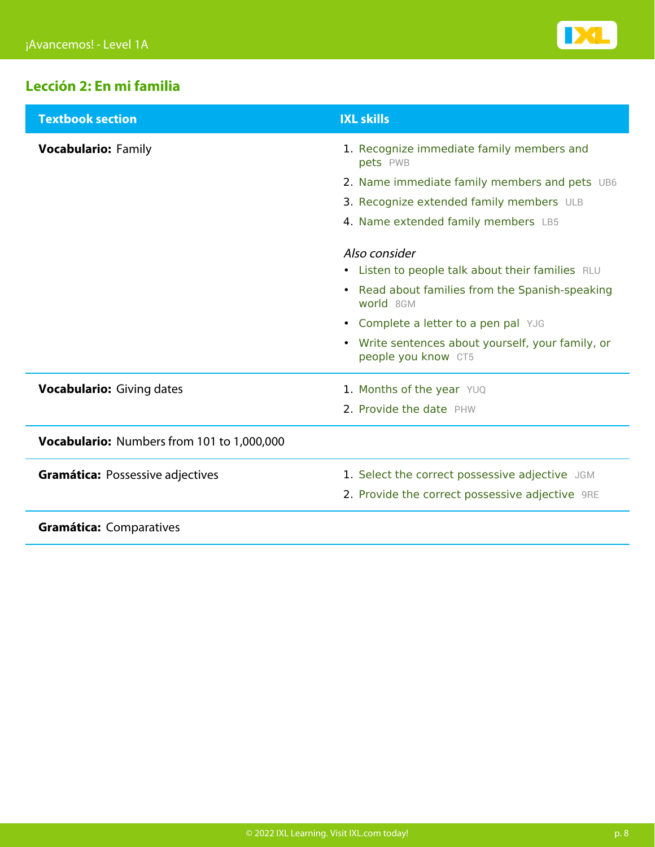

#### **Lección 2: En mi familia**

| <b>Textbook section</b>                    | <b>IXL skills</b>                                                        |
|--------------------------------------------|--------------------------------------------------------------------------|
| <b>Vocabulario: Family</b>                 | 1. Recognize immediate family members and<br>pets PWB                    |
|                                            | 2. Name immediate family members and pets UB6                            |
|                                            | 3. Recognize extended family members ULB                                 |
|                                            | 4. Name extended family members LB5                                      |
|                                            | Also consider                                                            |
|                                            | • Listen to people talk about their families RLU                         |
|                                            | • Read about families from the Spanish-speaking<br>world 8GM             |
|                                            | • Complete a letter to a pen pal YJG                                     |
|                                            | • Write sentences about yourself, your family, or<br>people you know CT5 |
| <b>Vocabulario:</b> Giving dates           | 1. Months of the year YUQ                                                |
|                                            | 2. Provide the date PHW                                                  |
| Vocabulario: Numbers from 101 to 1,000,000 |                                                                          |
| <b>Gramática: Possessive adjectives</b>    | 1. Select the correct possessive adjective JGM                           |
|                                            | 2. Provide the correct possessive adjective 9RE                          |
| <b>Gramática: Comparatives</b>             |                                                                          |